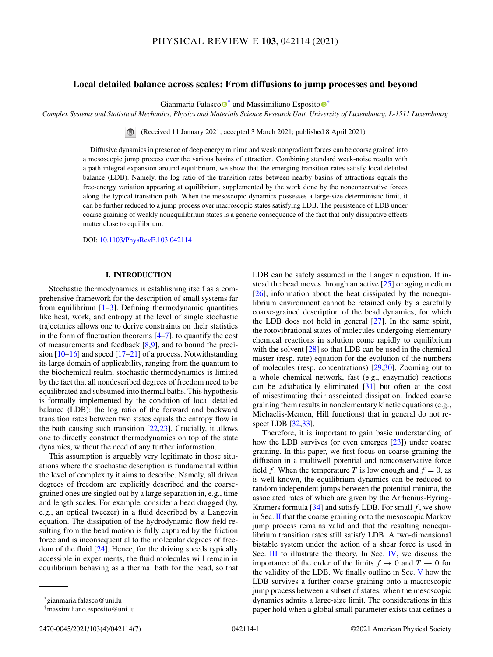# **Local detailed balance across scales: From diffusions to jump processes and beyond**

Gianmaria Falasc[o](https://orcid.org/0000-0002-2249-4035) $\bullet^*$  $\bullet^*$  and Massimiliano Esposito $\bullet^{\dagger}$ 

*Complex Systems and Statistical Mechanics, Physics and Materials Science Research Unit, University of Luxembourg, L-1511 Luxembourg*

(Received 11 January 2021; accepted 3 March 2021; published 8 April 2021)

Diffusive dynamics in presence of deep energy minima and weak nongradient forces can be coarse grained into a mesoscopic jump process over the various basins of attraction. Combining standard weak-noise results with a path integral expansion around equilibrium, we show that the emerging transition rates satisfy local detailed balance (LDB). Namely, the log ratio of the transition rates between nearby basins of attractions equals the free-energy variation appearing at equilibrium, supplemented by the work done by the nonconservative forces along the typical transition path. When the mesoscopic dynamics possesses a large-size deterministic limit, it can be further reduced to a jump process over macroscopic states satisfying LDB. The persistence of LDB under coarse graining of weakly nonequilibrium states is a generic consequence of the fact that only dissipative effects matter close to equilibrium.

DOI: [10.1103/PhysRevE.103.042114](https://doi.org/10.1103/PhysRevE.103.042114)

### **I. INTRODUCTION**

Stochastic thermodynamics is establishing itself as a comprehensive framework for the description of small systems far from equilibrium  $[1-3]$ . Defining thermodynamic quantities like heat, work, and entropy at the level of single stochastic trajectories allows one to derive constraints on their statistics in the form of fluctuation theorems  $[4-7]$  $[4-7]$ , to quantify the cost of measurements and feedback  $[8,9]$ , and to bound the precision  $[10-16]$  and speed  $[17-21]$  of a process. Notwithstanding its large domain of applicability, ranging from the quantum to the biochemical realm, stochastic thermodynamics is limited by the fact that all nondescribed degrees of freedom need to be equilibrated and subsumed into thermal baths. This hypothesis is formally implemented by the condition of local detailed balance (LDB): the log ratio of the forward and backward transition rates between two states equals the entropy flow in the bath causing such transition [\[22,23\]](#page-6-0). Crucially, it allows one to directly construct thermodynamics on top of the state dynamics, without the need of any further information.

This assumption is arguably very legitimate in those situations where the stochastic description is fundamental within the level of complexity it aims to describe. Namely, all driven degrees of freedom are explicitly described and the coarsegrained ones are singled out by a large separation in, e.g., time and length scales. For example, consider a bead dragged (by, e.g., an optical tweezer) in a fluid described by a Langevin equation. The dissipation of the hydrodynamic flow field resulting from the bead motion is fully captured by the friction force and is inconsequential to the molecular degrees of freedom of the fluid [\[24\]](#page-6-0). Hence, for the driving speeds typically accessible in experiments, the fluid molecules will remain in equilibrium behaving as a thermal bath for the bead, so that LDB can be safely assumed in the Langevin equation. If instead the bead moves through an active [\[25\]](#page-6-0) or aging medium [\[26\]](#page-6-0), information about the heat dissipated by the nonequilibrium environment cannot be retained only by a carefully coarse-grained description of the bead dynamics, for which the LDB does not hold in general  $[27]$ . In the same spirit, the rotovibrational states of molecules undergoing elementary chemical reactions in solution come rapidly to equilibrium with the solvent [\[28\]](#page-6-0) so that LDB can be used in the chemical master (resp. rate) equation for the evolution of the numbers of molecules (resp. concentrations) [\[29,30\]](#page-6-0). Zooming out to a whole chemical network, fast (e.g., enzymatic) reactions can be adiabatically eliminated [\[31\]](#page-6-0) but often at the cost of misestimating their associated dissipation. Indeed coarse graining them results in nonelementary kinetic equations (e.g., Michaelis-Menten, Hill functions) that in general do not respect LDB [\[32,33\]](#page-6-0).

Therefore, it is important to gain basic understanding of how the LDB survives (or even emerges [\[23\]](#page-6-0)) under coarse graining. In this paper, we first focus on coarse graining the diffusion in a multiwell potential and nonconservative force field *f*. When the temperature *T* is low enough and  $f = 0$ , as is well known, the equilibrium dynamics can be reduced to random independent jumps between the potential minima, the associated rates of which are given by the Arrhenius-Eyring-Kramers formula  $[34]$  and satisfy LDB. For small  $f$ , we show in Sec. [II](#page-1-0) that the coarse graining onto the mesoscopic Markov jump process remains valid and that the resulting nonequilibrium transition rates still satisfy LDB. A two-dimensional bistable system under the action of a shear force is used in Sec. [III](#page-3-0) to illustrate the theory. In Sec. [IV,](#page-3-0) we discuss the importance of the order of the limits  $f \to 0$  and  $T \to 0$  for the validity of the LDB. We finally outline in Sec. [V](#page-4-0) how the LDB survives a further coarse graining onto a macroscopic jump process between a subset of states, when the mesoscopic dynamics admits a large-size limit. The considerations in this paper hold when a global small parameter exists that defines a

<sup>\*</sup>gianmaria.falasco@uni.lu

<sup>†</sup>massimiliano.esposito@uni.lu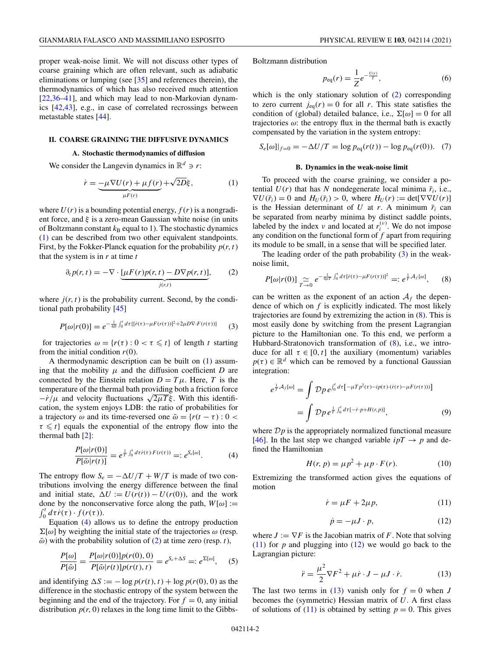#### **II. COARSE GRAINING THE DIFFUSIVE DYNAMICS**

## **A. Stochastic thermodynamics of diffusion**

We consider the Langevin dynamics in  $\mathbb{R}^d \ni r$ :

<span id="page-1-0"></span>metastable states [\[44\]](#page-6-0).

$$
\dot{r} = -\mu \nabla U(r) + \mu f(r) + \sqrt{2D}\xi, \qquad (1)
$$

where  $U(r)$  is a bounding potential energy,  $f(r)$  is a nongradient force, and  $\xi$  is a zero-mean Gaussian white noise (in units of Boltzmann constant  $k_B$  equal to 1). The stochastic dynamics (1) can be described from two other equivalent standpoints. First, by the Fokker-Planck equation for the probability  $p(r, t)$ that the system is in *r* at time *t*

$$
\partial_t p(r,t) = -\nabla \cdot \underbrace{[\mu F(r)p(r,t) - D\nabla p(r,t)]}_{j(r,t)},\tag{2}
$$

where  $j(r, t)$  is the probability current. Second, by the conditional path probability [\[45\]](#page-6-0)

$$
P[\omega|r(0)] = e^{-\frac{1}{4D}\int_0^t d\tau \{[r(\tau) - \mu F(r(\tau))]^2 + 2\mu D \nabla \cdot F(r(\tau))\}} \tag{3}
$$

for trajectories  $\omega = \{r(\tau) : 0 < \tau \leq t\}$  of length *t* starting from the initial condition  $r(0)$ .

A thermodynamic description can be built on (1) assuming that the mobility  $\mu$  and the diffusion coefficient *D* are connected by the Einstein relation  $D = T\mu$ . Here, *T* is the temperature of the thermal bath providing both a friction force  $-\dot{r}/\mu$  and velocity fluctuations  $\sqrt{2\mu T}\xi$ . With this identification, the system enjoys LDB: the ratio of probabilities for a trajectory  $\omega$  and its time-reversed one  $\tilde{\omega} = \{r(t - \tau) : 0 \leq \tau \}$  $\tau \leq t$ } equals the exponential of the entropy flow into the thermal bath [\[2\]](#page-5-0):

$$
\frac{P[\omega|r(0)]}{P[\tilde{\omega}|r(t)]} = e^{\frac{1}{T}\int_0^t d\tau \dot{r}(\tau) \cdot F(r(\tau))} =: e^{S_e[\omega]}.
$$
\n(4)

The entropy flow  $S_e = -\Delta U/T + W/T$  is made of two contributions involving the energy difference between the final and initial state,  $\Delta U := U(r(t)) - U(r(0))$ , and the work done by the nonconservative force along the path,  $W[\omega] :=$  $\int_0^t d\tau \dot{r}(\tau) \cdot f(r(\tau)).$ 

Equation (4) allows us to define the entropy production  $\Sigma[\omega]$  by weighting the initial state of the trajectories  $\omega$  (resp.  $\tilde{\omega}$ ) with the probability solution of (2) at time zero (resp. *t*),

$$
\frac{P[\omega]}{P[\tilde{\omega}]} = \frac{P[\omega|r(0)]p(r(0),0)}{P[\tilde{\omega}|r(t)]p(r(t),t)} = e^{S_e + \Delta S} =: e^{\Sigma[\omega]},\quad(5)
$$

and identifying  $\Delta S := -\log p(r(t), t) + \log p(r(0), 0)$  as the difference in the stochastic entropy of the system between the beginning and the end of the trajectory. For  $f = 0$ , any initial distribution  $p(r, 0)$  relaxes in the long time limit to the GibbsBoltzmann distribution

$$
p_{\rm eq}(r) = \frac{1}{Z} e^{-\frac{U(r)}{T}},\tag{6}
$$

which is the only stationary solution of  $(2)$  corresponding to zero current  $j_{eq}(r) = 0$  for all *r*. This state satisfies the condition of (global) detailed balance, i.e.,  $\Sigma[\omega] = 0$  for all trajectories  $\omega$ : the entropy flux in the thermal bath is exactly compensated by the variation in the system entropy:

$$
S_e[\omega]|_{f=0} = -\Delta U/T = \log p_{\text{eq}}(r(t)) - \log p_{\text{eq}}(r(0)). \quad (7)
$$

# **B. Dynamics in the weak-noise limit**

To proceed with the coarse graining, we consider a potential  $U(r)$  that has *N* nondegenerate local minima  $\bar{r}_i$ , i.e.,  $\nabla U(\bar{r}_i) = 0$  and  $H_U(\bar{r}_i) > 0$ , where  $H_U(r) := \det[\nabla \nabla U(r)]$ is the Hessian determinant of *U* at *r*. A minimum  $\bar{r}_i$  can be separated from nearby minima by distinct saddle points, labeled by the index  $\nu$  and located at  $r_i^{(\nu)}$ . We do not impose any condition on the functional form of *f* apart from requiring its module to be small, in a sense that will be specified later.

The leading order of the path probability  $(3)$  in the weaknoise limit,

$$
P[\omega|r(0)] \underset{T \to 0}{\simeq} e^{-\frac{1}{4\mu T} \int_0^t d\tau [\dot{r}(\tau) - \mu F(r(\tau))]^2} =: e^{\frac{1}{T} \mathcal{A}_f[\omega]},\tag{8}
$$

can be written as the exponent of an action  $A_f$  the dependence of which on *f* is explicitly indicated. The most likely trajectories are found by extremizing the action in (8). This is most easily done by switching from the present Lagrangian picture to the Hamiltonian one. To this end, we perform a Hubbard-Stratonovich transformation of (8), i.e., we introduce for all  $\tau \in [0, t]$  the auxiliary (momentum) variables  $p(\tau) \in \mathbb{R}^d$  which can be removed by a functional Gaussian integration:

$$
e^{\frac{1}{T}\mathcal{A}_f[\omega]} = \int \mathcal{D}p \, e^{\int_0^t d\tau \left[ -\mu T \, p^2(\tau) - ip(\tau) \cdot (\dot{r}(\tau) - \mu F(r(\tau))) \right]} = \int \mathcal{D}p \, e^{\frac{1}{T} \int_0^t d\tau \left[ -\dot{r} \cdot p + H(r, p) \right]},
$$
(9)

where  $\mathcal{D}p$  is the appropriately normalized functional measure [\[46\]](#page-6-0). In the last step we changed variable  $ipT \rightarrow p$  and defined the Hamiltonian

$$
H(r, p) = \mu p^2 + \mu p \cdot F(r). \tag{10}
$$

Extremizing the transformed action gives the equations of motion

$$
\dot{r} = \mu F + 2\mu p,\tag{11}
$$

$$
\dot{p} = -\mu J \cdot p,\tag{12}
$$

where  $J := \nabla F$  is the Jacobian matrix of F. Note that solving  $(11)$  for *p* and plugging into  $(12)$  we would go back to the Lagrangian picture:

$$
\ddot{r} = \frac{\mu^2}{2} \nabla F^2 + \mu \dot{r} \cdot J - \mu J \cdot \dot{r}.
$$
 (13)

The last two terms in (13) vanish only for  $f = 0$  when *J* becomes the (symmetric) Hessian matrix of *U*. A first class of solutions of  $(11)$  is obtained by setting  $p = 0$ . This gives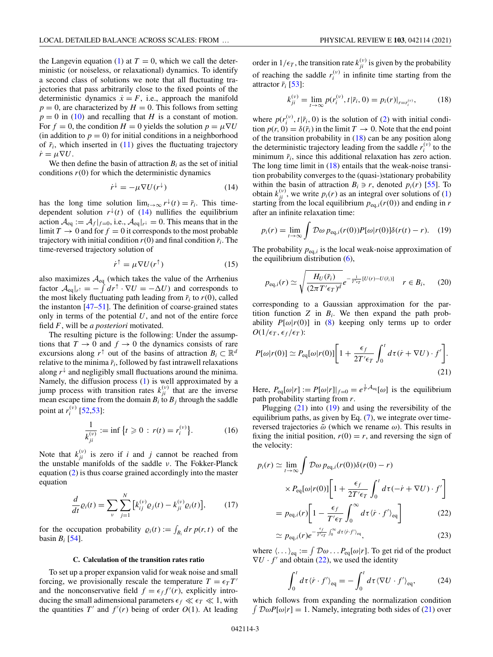<span id="page-2-0"></span>the Langevin equation [\(1\)](#page-1-0) at  $T = 0$ , which we call the deterministic (or noiseless, or relaxational) dynamics. To identify a second class of solutions we note that all fluctuating trajectories that pass arbitrarily close to the fixed points of the deterministic dynamics  $\dot{x} = F$ , i.e., approach the manifold  $p = 0$ , are characterized by  $H = 0$ . This follows from setting  $p = 0$  in [\(10\)](#page-1-0) and recalling that *H* is a constant of motion. For  $f = 0$ , the condition  $H = 0$  yields the solution  $p = \mu \nabla U$ (in addition to  $p = 0$ ) for initial conditions in a neighborhood of  $\bar{r}_i$ , which inserted in [\(11\)](#page-1-0) gives the fluctuating trajectory  $\dot{r} = \mu \nabla U.$ 

We then define the basin of attraction  $B_i$  as the set of initial conditions  $r(0)$  for which the deterministic dynamics

$$
\dot{r}^{\downarrow} = -\mu \nabla U(r^{\downarrow}) \tag{14}
$$

has the long time solution  $\lim_{t\to\infty} r^{\downarrow}(t) = \bar{r}_i$ . This timedependent solution  $r^{\downarrow}(t)$  of (14) nullifies the equilibrium action  $A_{eq} := A_f|_{f=0}$ , i.e.,  $A_{eq}|_{r^{\downarrow}} = 0$ . This means that in the limit  $T \to 0$  and for  $f = 0$  it corresponds to the most probable trajectory with initial condition  $r(0)$  and final condition  $\bar{r}_i$ . The time-reversed trajectory solution of

$$
\dot{r}^{\uparrow} = \mu \nabla U(r^{\uparrow}) \tag{15}
$$

also maximizes  $\mathcal{A}_{eq}$  (which takes the value of the Arrhenius factor  $\mathcal{A}_{eq}|_{r^{\uparrow}} = - \int dr^{\uparrow} \cdot \nabla U = -\Delta U$  and corresponds to the most likely fluctuating path leading from  $\bar{r}_i$  to  $r(0)$ , called the instanton  $[47-51]$ . The definition of coarse-grained states only in terms of the potential *U*, and not of the entire force field *F*, will be *a posteriori* motivated.

The resulting picture is the following: Under the assumptions that  $T \to 0$  and  $f \to 0$  the dynamics consists of rare excursions along  $r^{\uparrow}$  out of the basins of attraction  $B_i \subset \mathbb{R}^d$ relative to the minima  $\bar{r}_i$ , followed by fast intrawell relaxations along  $r^{\downarrow}$  and negligibly small fluctuations around the minima. Namely, the diffusion process [\(1\)](#page-1-0) is well approximated by a jump process with transition rates  $k_{ji}^{(v)}$  that are the inverse mean escape time from the domain  $B_i$  to  $B_j$  through the saddle point at  $r_i^{(\nu)}$  [\[52,53\]](#page-6-0):

$$
\frac{1}{k_{ji}^{(v)}} := \inf \left\{ t \geq 0 \, : \, r(t) = r_i^{(v)} \right\}.
$$
 (16)

Note that  $k_{ji}^{(v)}$  is zero if *i* and *j* cannot be reached from the unstable manifolds of the saddle ν. The Fokker-Planck equation [\(2\)](#page-1-0) is thus coarse grained accordingly into the master equation

$$
\frac{d}{dt}\varrho_i(t) = \sum_{\nu} \sum_{j=1}^N \left[ k_{ij}^{(\nu)} \varrho_j(t) - k_{ji}^{(\nu)} \varrho_i(t) \right],\tag{17}
$$

for the occupation probability  $\rho_i(t) := \int_{B_i} dr \, p(r, t)$  of the basin  $B_i$  [\[54\]](#page-6-0).

#### **C. Calculation of the transition rates ratio**

To set up a proper expansion valid for weak noise and small forcing, we provisionally rescale the temperature  $T = \epsilon_T T'$ and the nonconservative field  $f = \epsilon_f f'(r)$ , explicitly introducing the small adimensional parameters  $\epsilon_f \ll \epsilon_T \ll 1$ , with the quantities  $T'$  and  $f'(r)$  being of order  $O(1)$ . At leading

order in  $1/\epsilon_T$ , the transition rate  $k_{ji}^{(\nu)}$  is given by the probability of reaching the saddle  $r_i^{(v)}$  in infinite time starting from the attractor  $\bar{r}_i$  [\[53\]](#page-6-0):

$$
k_{ji}^{(v)} = \lim_{t \to \infty} p(r_i^{(v)}, t | \bar{r}_i, 0) = p_i(r)|_{r = r_i^{(v)}}, \tag{18}
$$

where  $p(r_i^{(v)}, t | \bar{r}_i, 0)$  is the solution of [\(2\)](#page-1-0) with initial condition  $p(r, 0) = \delta(\bar{r}_i)$  in the limit  $T \to 0$ . Note that the end point of the transition probability in (18) can be any position along the deterministic trajectory leading from the saddle  $r_i^{(v)}$  to the minimum  $\bar{r}_i$ , since this additional relaxation has zero action. The long time limit in  $(18)$  entails that the weak-noise transition probability converges to the (quasi-)stationary probability within the basin of attraction  $B_i \ni r$ , denoted  $p_i(r)$  [\[55\]](#page-6-0). To obtain  $k_{ji}^{(v)}$ , we write  $p_i(r)$  as an integral over solutions of [\(1\)](#page-1-0) starting from the local equilibrium  $p_{eq,i}(r(0))$  and ending in *r* after an infinite relaxation time:

$$
p_i(r) = \lim_{t \to \infty} \int \mathcal{D}\omega \, p_{\text{eq},i}(r(0)) P[\omega | r(0)] \delta(r(t) - r). \tag{19}
$$

The probability  $p_{eq,i}$  is the local weak-noise approximation of the equilibrium distribution [\(6\)](#page-1-0),

$$
p_{\text{eq},i}(r) \simeq \sqrt{\frac{H_U(\bar{r}_i)}{(2\pi T' \epsilon_T)^d}} e^{-\frac{1}{T'\epsilon_T}[U(r)-U(\bar{r}_i)]} \quad r \in B_i,
$$
 (20)

corresponding to a Gaussian approximation for the partition function  $Z$  in  $B_i$ . We then expand the path probability  $P[\omega|r(0)]$  in [\(8\)](#page-1-0) keeping only terms up to order  $O(1/\epsilon_T, \epsilon_f/\epsilon_T)$ :

$$
P[\omega|r(0)] \simeq P_{\text{eq}}[\omega|r(0)] \bigg[ 1 + \frac{\epsilon_f}{2T'\epsilon_T} \int_0^t d\tau (\dot{r} + \nabla U) \cdot f' \bigg]. \tag{21}
$$

Here,  $P_{eq}[\omega|r] := P[\omega|r]|_{f=0} = e^{\frac{1}{T} \mathcal{A}_{eq}[\omega]}$  is the equilibrium path probability starting from *r*.

Plugging  $(21)$  into  $(19)$  and using the reversibility of the equilibrium paths, as given by Eq.  $(7)$ , we integrate over timereversed trajectories  $\tilde{\omega}$  (which we rename  $\omega$ ). This results in fixing the initial position,  $r(0) = r$ , and reversing the sign of the velocity:

$$
p_i(r) \simeq \lim_{t \to \infty} \int \mathcal{D}\omega \, p_{\text{eq},i}(r(0)) \delta(r(0) - r)
$$
  
 
$$
\times P_{\text{eq}}[\omega | r(0)] \bigg[ 1 + \frac{\epsilon_f}{2T'\epsilon_T} \int_0^t d\tau(-\dot{r} + \nabla U) \cdot f' \bigg]
$$
  
= 
$$
p_{\text{eq},i}(r) \bigg[ 1 - \frac{\epsilon_f}{T'\epsilon_T} \int_0^\infty d\tau \langle \dot{r} \cdot f' \rangle_{\text{eq}} \bigg]
$$
(22)

$$
\simeq p_{\text{eq},i}(r)e^{-\frac{\epsilon_f}{T'\epsilon_T}\int_0^\infty d\tau \langle \dot{r} \cdot f' \rangle_{\text{eq}}},\tag{23}
$$

where  $\langle \dots \rangle_{\text{eq}} := \int \mathcal{D}\omega \dots P_{\text{eq}}[\omega|r]$ . To get rid of the product  $\nabla U \cdot f'$  and obtain (22), we used the identity

$$
\int_0^t d\tau \langle \dot{r} \cdot f' \rangle_{\text{eq}} = -\int_0^t d\tau \langle \nabla U \cdot f' \rangle_{\text{eq}},\tag{24}
$$

which follows from expanding the normalization condition  $\int \mathcal{D}\omega P[\omega|r] = 1$ . Namely, integrating both sides of (21) over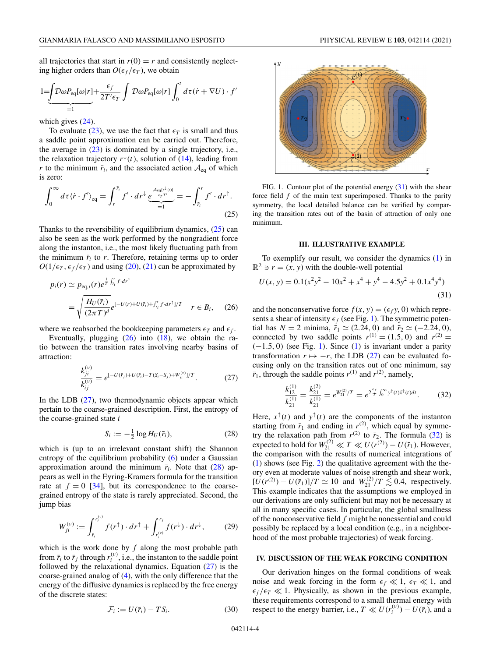<span id="page-3-0"></span>all trajectories that start in  $r(0) = r$  and consistently neglecting higher orders than  $O(\epsilon_f/\epsilon_T)$ , we obtain

$$
1 = \underbrace{\int \mathcal{D}\omega P_{\text{eq}}[\omega|r]}_{=1} + \frac{\epsilon_f}{2T'\epsilon_T} \int \mathcal{D}\omega P_{\text{eq}}[\omega|r] \int_0^t d\tau(\dot{r} + \nabla U) \cdot f'
$$

which gives  $(24)$ .

To evaluate [\(23\)](#page-2-0), we use the fact that  $\epsilon_T$  is small and thus a saddle point approximation can be carried out. Therefore, the average in  $(23)$  is dominated by a single trajectory, i.e., the relaxation trajectory  $r^{\downarrow}(t)$ , solution of [\(14\)](#page-2-0), leading from *r* to the minimum  $\bar{r}_i$ , and the associated action  $\mathcal{A}_{eq}$  of which is zero:

$$
\int_0^\infty d\tau \langle \dot{r} \cdot f' \rangle_{\text{eq}} = \int_r^{\bar{r}_l} f' \cdot dr^\downarrow \underbrace{e^{\frac{\mathcal{A}_{\text{eq}}[r^\downarrow(t)]}{\epsilon_T T'}}}_{=1} = -\int_{\bar{r}_l}^r f' \cdot dr^\uparrow. \tag{25}
$$

Thanks to the reversibility of equilibrium dynamics,  $(25)$  can also be seen as the work performed by the nongradient force along the instanton, i.e., the most likely fluctuating path from the minimum  $\bar{r}_i$  to  $r$ . Therefore, retaining terms up to order  $O(1/\epsilon_T, \epsilon_f/\epsilon_T)$  and using [\(20\)](#page-2-0), [\(21\)](#page-2-0) can be approximated by

$$
p_i(r) \simeq p_{\text{eq},i}(r)e^{\frac{1}{T}\int_{\tilde{r}_i}^r f \cdot dr^{\dagger}}
$$
  
= 
$$
\sqrt{\frac{H_U(\bar{r}_i)}{(2\pi T)^d}}e^{[-U(r)+U(\bar{r}_i)+\int_{\tilde{r}_i}^r f \cdot dr^{\dagger}]/T} \quad r \in B_i,
$$
 (26)

where we reabsorbed the bookkeeping parameters  $\epsilon_T$  and  $\epsilon_f$ .

Eventually, plugging  $(26)$  into  $(18)$ , we obtain the ratio between the transition rates involving nearby basins of attraction:

$$
\frac{k_{ji}^{(\nu)}}{k_{ij}^{(\nu)}} = e^{[-U(\bar{r}_j) + U(\bar{r}_i) - T(S_i - S_j) + W_{ji}^{(\nu)})/T}.
$$
\n(27)

In the LDB  $(27)$ , two thermodynamic objects appear which pertain to the coarse-grained description. First, the entropy of the coarse-grained state *i*

$$
S_i := -\frac{1}{2}\log H_U(\bar{r}_i),\tag{28}
$$

which is (up to an irrelevant constant shift) the Shannon entropy of the equilibrium probability [\(6\)](#page-1-0) under a Gaussian approximation around the minimum  $\bar{r}_i$ . Note that (28) appears as well in the Eyring-Kramers formula for the transition rate at  $f = 0$  [\[34\]](#page-6-0), but its correspondence to the coarsegrained entropy of the state is rarely appreciated. Second, the jump bias

$$
W_{ji}^{(\nu)} := \int_{\bar{r}_i}^{r_i^{(\nu)}} f(r^{\uparrow}) \cdot dr^{\uparrow} + \int_{r_i^{(\nu)}}^{\bar{r}_j} f(r^{\downarrow}) \cdot dr^{\downarrow}, \qquad (29)
$$

which is the work done by *f* along the most probable path from  $\bar{r}_i$  to  $\bar{r}_j$  through  $r_i^{(v)}$ , i.e., the instanton to the saddle point followed by the relaxational dynamics. Equation (27) is the coarse-grained analog of [\(4\)](#page-1-0), with the only difference that the energy of the diffusive dynamics is replaced by the free energy of the discrete states:

$$
\mathcal{F}_i := U(\bar{r}_i) - TS_i. \tag{30}
$$



FIG. 1. Contour plot of the potential energy (31) with the shear force field *f* of the main text superimposed. Thanks to the parity symmetry, the local detailed balance can be verified by comparing the transition rates out of the basin of attraction of only one minimum.

### **III. ILLUSTRATIVE EXAMPLE**

To exemplify our result, we consider the dynamics [\(1\)](#page-1-0) in  $\mathbb{R}^2 \ni r = (x, y)$  with the double-well potential

$$
U(x, y) = 0.1(x2y2 - 10x2 + x4 + y4 - 4.5y2 + 0.1x4y4)
$$
\n(31)

and the nonconservative force  $f(x, y) = (\epsilon_f y, 0)$  which represents a shear of intensity  $\epsilon_f$  (see Fig. 1). The symmetric potential has  $N = 2$  minima,  $\bar{r}_1 \simeq (2.24, 0)$  and  $\bar{r}_2 \simeq (-2.24, 0)$ , connected by two saddle points  $r^{(1)} = (1.5, 0)$  and  $r^{(2)} =$  $(-1.5, 0)$  (see Fig. 1). Since [\(1\)](#page-1-0) is invariant under a parity transformation  $r \mapsto -r$ , the LDB (27) can be evaluated focusing only on the transition rates out of one minimum, say  $\bar{r}_1$ , through the saddle points  $r^{(1)}$  and  $r^{(2)}$ , namely,

$$
\frac{k_{12}^{(1)}}{k_{21}^{(1)}} = \frac{k_{21}^{(2)}}{k_{21}^{(1)}} = e^{W_{21}^{(2)}/T} = e^{2\frac{\epsilon_f}{T} \int_0^\infty y^\dagger(t) \dot{x}^\dagger(t) dt}.
$$
 (32)

Here,  $x^{\uparrow}(t)$  and  $y^{\uparrow}(t)$  are the components of the instanton starting from  $\bar{r}_1$  and ending in  $r^{(2)}$ , which equal by symmetry the relaxation path from  $r^{(2)}$  to  $\bar{r}_2$ . The formula (32) is expected to hold for  $W_{21}^{(2)} \ll T \ll U(r^{(2)}) - U(\bar{r}_1)$ . However, the comparison with the results of numerical integrations of [\(1\)](#page-1-0) shows (see Fig. [2\)](#page-4-0) the qualitative agreement with the theory even at moderate values of noise strength and shear work,  $[\dot{U}(r^{(2)}) - U(\bar{r}_1)]/T \simeq 10$  and  $W_{21}^{(2)}/T \lesssim 0.4$ , respectively. This example indicates that the assumptions we employed in our derivations are only sufficient but may not be necessary at all in many specific cases. In particular, the global smallness of the nonconservative field *f* might be nonessential and could possibly be replaced by a local condition (e.g., in a neighborhood of the most probable trajectories) of weak forcing.

### **IV. DISCUSSION OF THE WEAK FORCING CONDITION**

Our derivation hinges on the formal conditions of weak noise and weak forcing in the form  $\epsilon_f \ll 1$ ,  $\epsilon_T \ll 1$ , and  $\epsilon_f/\epsilon_T \ll 1$ . Physically, as shown in the previous example, these requirements correspond to a small thermal energy with respect to the energy barrier, i.e.,  $T \ll U(r_i^{(v)}) - U(\bar{r}_i)$ , and a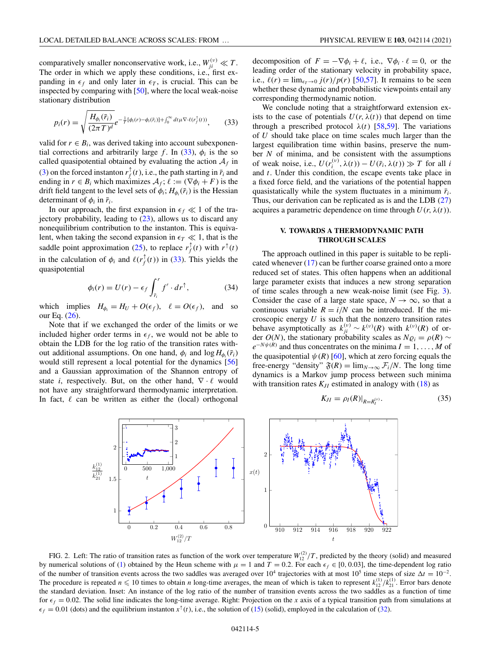<span id="page-4-0"></span>comparatively smaller nonconservative work, i.e.,  $W_{ji}^{(v)} \ll T$ . The order in which we apply these conditions, i.e., first expanding in  $\epsilon_f$  and only later in  $\epsilon_T$ , is crucial. This can be inspected by comparing with [\[50\]](#page-6-0), where the local weak-noise stationary distribution

$$
p_i(r) = \sqrt{\frac{H_{\phi_i}(\bar{r}_i)}{(2\pi T)^d}} e^{-\frac{1}{T}[\phi_i(r) - \phi_i(\bar{r}_i)] + \int_0^\infty dt \mu \nabla \cdot \ell(r_f^\uparrow(t))},\tag{33}
$$

valid for  $r \in B_i$ , was derived taking into account subexponential corrections and arbitrarily large *f*. In (33),  $\phi_i$  is the so called quasipotential obtained by evaluating the action  $A_f$  in [\(3\)](#page-1-0) on the forced instanton  $r_f^{\uparrow}(t)$ , i.e., the path starting in  $\bar{r}_i$  and ending in  $r \in B_i$  which maximizes  $A_f$ ;  $\ell := (\nabla \phi_i + F)$  is the drift field tangent to the level sets of  $\phi_i$ ;  $H_{\phi_i}(\bar{r}_i)$  is the Hessian determinant of  $\phi_i$  in  $\bar{r}_i$ .

In our approach, the first expansion in  $\epsilon_f \ll 1$  of the trajectory probability, leading to  $(23)$ , allows us to discard any nonequilibrium contribution to the instanton. This is equivalent, when taking the second expansion in  $\epsilon_T \ll 1$ , that is the saddle point approximation [\(25\)](#page-3-0), to replace  $r_f^{\uparrow}(t)$  with  $r^{\uparrow}(t)$ in the calculation of  $\phi_i$  and  $\ell(r_f^{\uparrow}(t))$  in (33). This yields the quasipotential

$$
\phi_i(r) = U(r) - \epsilon_f \int_{\bar{r}_i}^r f' \cdot dr^\uparrow, \tag{34}
$$

which implies  $H_{\phi_i} = H_U + O(\epsilon_f)$ ,  $\ell = O(\epsilon_f)$ , and so our Eq. [\(26\)](#page-3-0).

Note that if we exchanged the order of the limits or we included higher order terms in  $\epsilon_f$ , we would not be able to obtain the LDB for the log ratio of the transition rates without additional assumptions. On one hand,  $\phi_i$  and  $\log H_{\phi_i}(\bar{r}_i)$ would still represent a local potential for the dynamics [\[56\]](#page-6-0) and a Gaussian approximation of the Shannon entropy of state *i*, respectively. But, on the other hand,  $\nabla \cdot \ell$  would not have any straightforward thermodynamic interpretation. In fact,  $\ell$  can be written as either the (local) orthogonal decomposition of  $F = -\nabla \phi_i + \ell$ , i.e.,  $\nabla \phi_i \cdot \ell = 0$ , or the leading order of the stationary velocity in probability space, i.e.,  $\ell(r) = \lim_{\epsilon_T \to 0} \frac{j(r)}{p(r)}$  [\[50,57\]](#page-6-0). It remains to be seen whether these dynamic and probabilistic viewpoints entail any

corresponding thermodynamic notion.

We conclude noting that a straightforward extension exists to the case of potentials  $U(r, \lambda(t))$  that depend on time through a prescribed protocol  $\lambda(t)$  [\[58,59\]](#page-6-0). The variations of *U* should take place on time scales much larger than the largest equilibration time within basins, preserve the number *N* of minima, and be consistent with the assumptions of weak noise, i.e.,  $U(r_i^{(v)}, \lambda(t)) - U(\bar{r}_i, \lambda(t)) \gg T$  for all *i* and *t*. Under this condition, the escape events take place in a fixed force field, and the variations of the potential happen quasistatically while the system fluctuates in a minimum  $\bar{r}_i$ . Thus, our derivation can be replicated as is and the LDB [\(27\)](#page-3-0) acquires a parametric dependence on time through  $U(r, \lambda(t))$ .

# **V. TOWARDS A THERMODYNAMIC PATH THROUGH SCALES**

The approach outlined in this paper is suitable to be replicated whenever [\(17\)](#page-2-0) can be further coarse grained onto a more reduced set of states. This often happens when an additional large parameter exists that induces a new strong separation of time scales through a new weak-noise limit (see Fig. [3\)](#page-5-0). Consider the case of a large state space,  $N \to \infty$ , so that a continuous variable  $R = i/N$  can be introduced. If the microscopic energy *U* is such that the nonzero transition rates behave asymptotically as  $k_{ji}^{(v)} \sim k^{(v)}(R)$  with  $k^{(v)}(R)$  of order *O*(*N*), the stationary probability scales as  $N\varrho_i = \rho(R)$  ∼  $e^{-N\psi(R)}$  and thus concentrates on the minima  $I = 1, \ldots, M$  of the quasipotential  $\psi(R)$  [\[60\]](#page-6-0), which at zero forcing equals the free-energy "density"  $\mathfrak{F}(R) = \lim_{N \to \infty} \mathcal{F}_i/N$ . The long time dynamics is a Markov jump process between such minima with transition rates  $K_{JI}$  estimated in analogy with  $(18)$  as

$$
K_{JI} = \rho_I(R)|_{R=R_I^{(v)}}.\tag{35}
$$



FIG. 2. Left: The ratio of transition rates as function of the work over temperature  $W_{12}^{(2)}/T$ , predicted by the theory (solid) and measured by numerical solutions of [\(1\)](#page-1-0) obtained by the Heun scheme with  $\mu = 1$  and  $T = 0.2$ . For each  $\epsilon_f \in [0, 0.03]$ , the time-dependent log ratio of the number of transition events across the two saddles was averaged over  $10^4$  trajectories with at most  $10^5$  time steps of size  $\Delta t = 10^{-2}$ . The procedure is repeated  $n \leq 10$  times to obtain *n* long-time averages, the mean of which is taken to represent  $k_{12}^{(1)}/k_{21}^{(1)}$ . Error bars denote the standard deviation. Inset: An instance of the log ratio of the number of transition events across the two saddles as a function of time for  $\epsilon_f = 0.02$ . The solid line indicates the long-time average. Right: Projection on the *x* axis of a typical transition path from simulations at  $\epsilon_f = 0.01$  (dots) and the equilibrium instanton  $x^{\uparrow}(t)$ , i.e., the solution of [\(15\)](#page-2-0) (solid), employed in the calculation of [\(32\)](#page-3-0).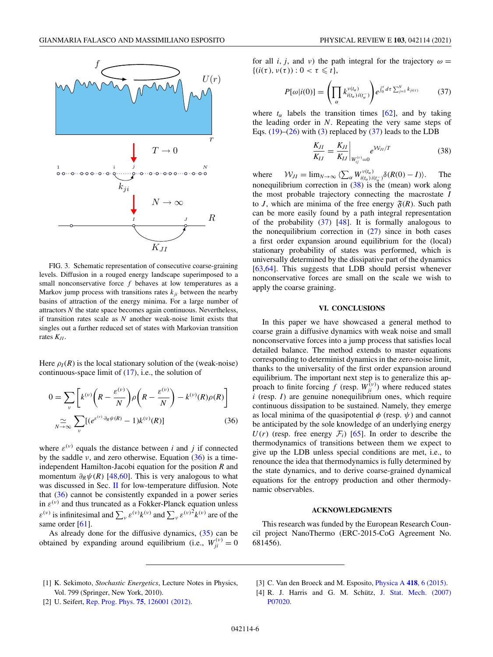<span id="page-5-0"></span>

FIG. 3. Schematic representation of consecutive coarse-graining levels. Diffusion in a rouged energy landscape superimposed to a small nonconservative force  $f$  behaves at low temperatures as a Markov jump process with transitions rates  $k_{ji}$  between the nearby basins of attraction of the energy minima. For a large number of attractors *N* the state space becomes again continuous. Nevertheless, if transition rates scale as *N* another weak-noise limit exists that singles out a further reduced set of states with Markovian transition rates *KJI*.

Here  $\rho_I(R)$  is the local stationary solution of the (weak-noise) continuous-space limit of [\(17\)](#page-2-0), i.e., the solution of

$$
0 = \sum_{\nu} \left[ k^{(\nu)} \left( R - \frac{\varepsilon^{(\nu)}}{N} \right) \rho \left( R - \frac{\varepsilon^{(\nu)}}{N} \right) - k^{(\nu)}(R) \rho(R) \right]
$$

$$
\approx \sum_{\nu} [(e^{\varepsilon^{(\nu)} \cdot \partial_R \psi(R)} - 1) k^{(\nu)}(R)] \tag{36}
$$

where  $\varepsilon^{(v)}$  equals the distance between *i* and *j* if connected by the saddle  $\nu$ , and zero otherwise. Equation (36) is a timeindependent Hamilton-Jacobi equation for the position *R* and momentum  $\partial_R \psi(R)$  [\[48,60\]](#page-6-0). This is very analogous to what was discussed in Sec. [II](#page-1-0) for low-temperature diffusion. Note that  $(36)$  cannot be consistently expanded in a power series in  $\varepsilon^{(\nu)}$  and thus truncated as a Fokker-Planck equation unless  $\varepsilon^{(v)}$  is infinitesimal and  $\sum_{v} \varepsilon^{(v)} k^{(v)}$  and  $\sum_{v} \varepsilon^{(v)} k^{(v)}$  are of the same order [\[61\]](#page-6-0).

As already done for the diffusive dynamics, [\(35\)](#page-4-0) can be obtained by expanding around equilibrium (i.e.,  $W_{ji}^{(v)} = 0$  for all *i*, *j*, and *v*) the path integral for the trajectory  $\omega$  =  $\{(i(\tau), v(\tau)) : 0 < \tau \leq t\},\$ 

$$
P[\omega|i(0)] = \left(\prod_{\alpha} k_{i(t_{\alpha})i(t_{\alpha}^{-})}^{v(t_{\alpha})}\right) e^{\int_{0}^{t} d\tau \sum_{j=1}^{N} k_{ji(\tau)}} \qquad (37)
$$

where  $t_{\alpha}$  labels the transition times [\[62\]](#page-6-0), and by taking the leading order in *N*. Repeating the very same steps of Eqs.  $(19)$ – $(26)$  with  $(3)$  replaced by  $(37)$  leads to the LDB

$$
\frac{K_{JI}}{K_{IJ}} = \frac{K_{JI}}{K_{IJ}}\bigg|_{W_{ij}^{(v)}=0} e^{\mathcal{W}_{JI}/T}
$$
\n(38)

where  $W_{JI} = \lim_{N \to \infty} \langle \sum_{\alpha} W_{i(t_{\alpha}) i(t_{\alpha}^{-})}^{v(t_{\alpha})} \delta(R(0) - I) \rangle$ . The nonequilibrium correction in (38) is the (mean) work along the most probable trajectory connecting the macrostate *I* to *J*, which are minima of the free energy  $\mathfrak{F}(R)$ . Such path can be more easily found by a path integral representation of the probability (37) [\[48\]](#page-6-0). It is formally analogous to the nonequilibrium correction in  $(27)$  since in both cases a first order expansion around equilibrium for the (local) stationary probability of states was performed, which is universally determined by the dissipative part of the dynamics [\[63,64\]](#page-6-0). This suggests that LDB should persist whenever nonconservative forces are small on the scale we wish to apply the coarse graining.

#### **VI. CONCLUSIONS**

In this paper we have showcased a general method to coarse grain a diffusive dynamics with weak noise and small nonconservative forces into a jump process that satisfies local detailed balance. The method extends to master equations corresponding to determinist dynamics in the zero-noise limit, thanks to the universality of the first order expansion around equilibrium. The important next step is to generalize this approach to finite forcing *f* (resp.  $W_{ji}^{(\nu)}$ ) where reduced states *i* (resp. *I*) are genuine nonequilibrium ones, which require continuous dissipation to be sustained. Namely, they emerge as local minima of the quasipotential  $\phi$  (resp.  $\psi$ ) and cannot be anticipated by the sole knowledge of an underlying energy  $U(r)$  (resp. free energy  $\mathcal{F}_i$ ) [\[65\]](#page-6-0). In order to describe the thermodynamics of transitions between them we expect to give up the LDB unless special conditions are met, i.e., to renounce the idea that thermodynamics is fully determined by the state dynamics, and to derive coarse-grained dynamical equations for the entropy production and other thermodynamic observables.

### **ACKNOWLEDGMENTS**

This research was funded by the European Research Council project NanoThermo (ERC-2015-CoG Agreement No. 681456).

- [1] K. Sekimoto, *Stochastic Energetics*, Lecture Notes in Physics, Vol. 799 (Springer, New York, 2010).
- [2] U. Seifert, [Rep. Prog. Phys.](https://doi.org/10.1088/0034-4885/75/12/126001) **75**, 126001 (2012).
- [3] C. Van den Broeck and M. Esposito, [Physica A](https://doi.org/10.1016/j.physa.2014.04.035) **418**, 6 (2015).

<sup>[4]</sup> [R. J. Harris and G. M. Schütz,](https://doi.org/10.1088/1742-5468/2007/07/P07020) J. Stat. Mech. (2007) P07020.